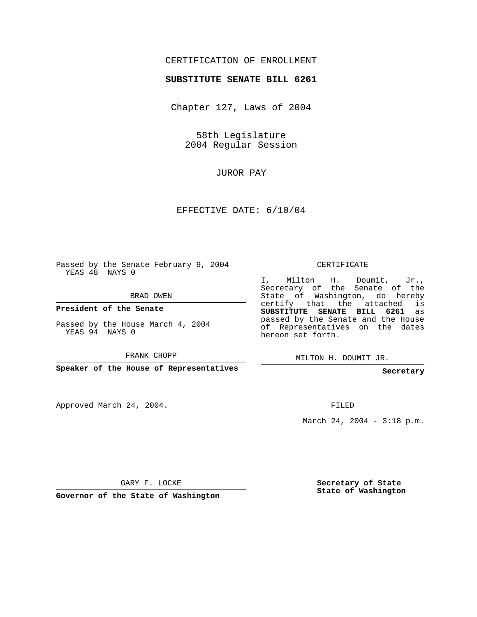## CERTIFICATION OF ENROLLMENT

## **SUBSTITUTE SENATE BILL 6261**

Chapter 127, Laws of 2004

58th Legislature 2004 Regular Session

JUROR PAY

EFFECTIVE DATE: 6/10/04

Passed by the Senate February 9, 2004 YEAS 48 NAYS 0

BRAD OWEN

**President of the Senate**

Passed by the House March 4, 2004 YEAS 94 NAYS 0

FRANK CHOPP

**Speaker of the House of Representatives**

Approved March 24, 2004.

CERTIFICATE

I, Milton H. Doumit, Jr., Secretary of the Senate of the State of Washington, do hereby certify that the attached is **SUBSTITUTE SENATE BILL 6261** as passed by the Senate and the House of Representatives on the dates hereon set forth.

MILTON H. DOUMIT JR.

**Secretary**

FILED

March 24, 2004 - 3:18 p.m.

GARY F. LOCKE

**Governor of the State of Washington**

**Secretary of State State of Washington**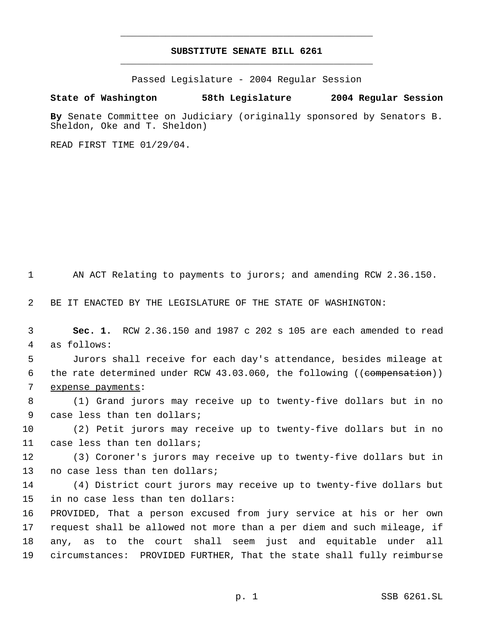## **SUBSTITUTE SENATE BILL 6261** \_\_\_\_\_\_\_\_\_\_\_\_\_\_\_\_\_\_\_\_\_\_\_\_\_\_\_\_\_\_\_\_\_\_\_\_\_\_\_\_\_\_\_\_\_

\_\_\_\_\_\_\_\_\_\_\_\_\_\_\_\_\_\_\_\_\_\_\_\_\_\_\_\_\_\_\_\_\_\_\_\_\_\_\_\_\_\_\_\_\_

Passed Legislature - 2004 Regular Session

## **State of Washington 58th Legislature 2004 Regular Session**

**By** Senate Committee on Judiciary (originally sponsored by Senators B. Sheldon, Oke and T. Sheldon)

READ FIRST TIME 01/29/04.

AN ACT Relating to payments to jurors; and amending RCW 2.36.150.

BE IT ENACTED BY THE LEGISLATURE OF THE STATE OF WASHINGTON:

 **Sec. 1.** RCW 2.36.150 and 1987 c 202 s 105 are each amended to read as follows:

 Jurors shall receive for each day's attendance, besides mileage at 6 the rate determined under RCW 43.03.060, the following ((compensation)) expense payments:

 (1) Grand jurors may receive up to twenty-five dollars but in no case less than ten dollars;

 (2) Petit jurors may receive up to twenty-five dollars but in no case less than ten dollars;

 (3) Coroner's jurors may receive up to twenty-five dollars but in no case less than ten dollars;

 (4) District court jurors may receive up to twenty-five dollars but in no case less than ten dollars:

 PROVIDED, That a person excused from jury service at his or her own request shall be allowed not more than a per diem and such mileage, if any, as to the court shall seem just and equitable under all circumstances: PROVIDED FURTHER, That the state shall fully reimburse